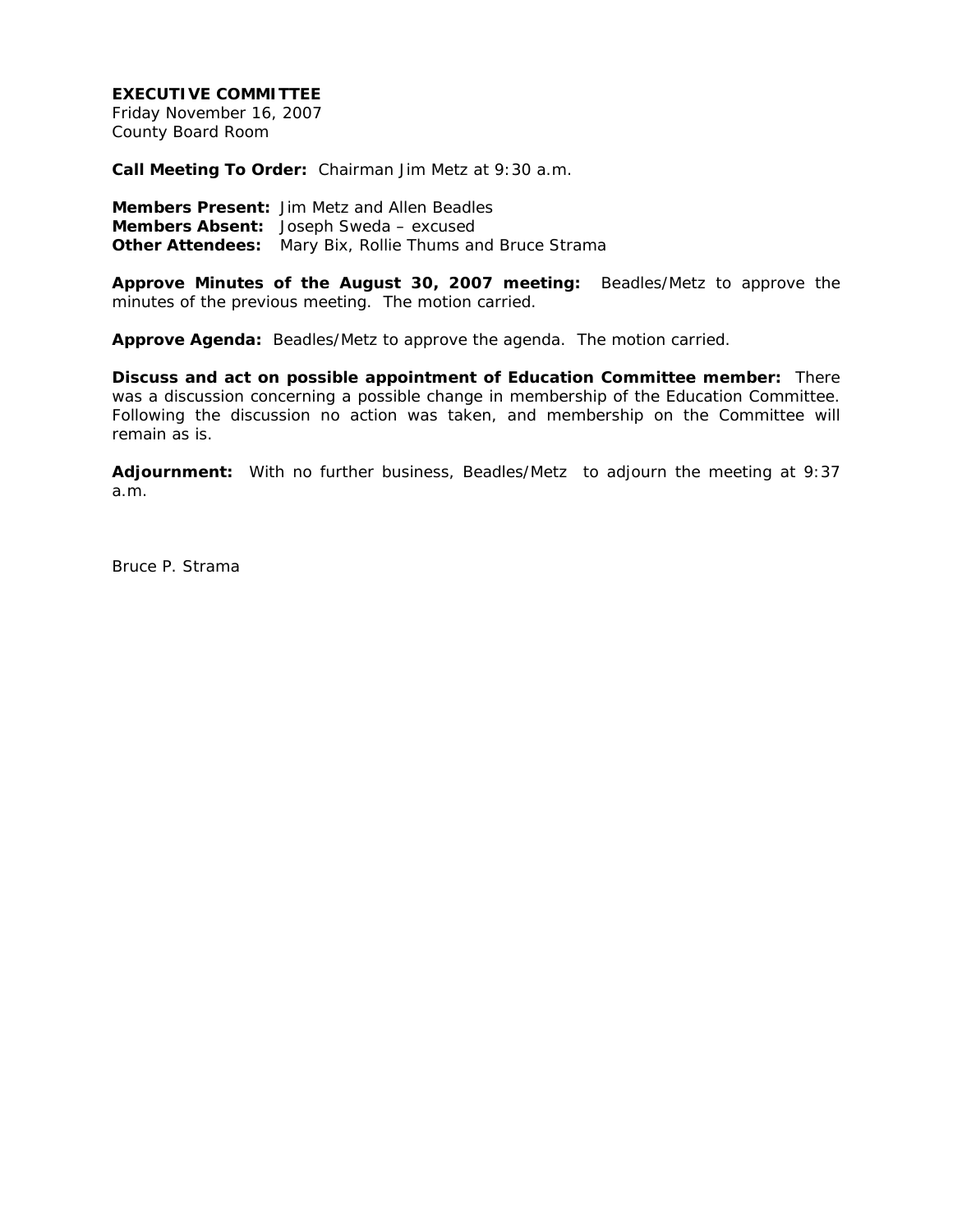### **EXECUTIVE COMMITTEE**

Friday November 16, 2007 County Board Room

**Call Meeting To Order:** Chairman Jim Metz at 9:30 a.m.

**Members Present:** Jim Metz and Allen Beadles **Members Absent:** Joseph Sweda – excused **Other Attendees:** Mary Bix, Rollie Thums and Bruce Strama

**Approve Minutes of the August 30, 2007 meeting:** Beadles/Metz to approve the minutes of the previous meeting. The motion carried.

**Approve Agenda:** Beadles/Metz to approve the agenda. The motion carried.

**Discuss and act on possible appointment of Education Committee member:** There was a discussion concerning a possible change in membership of the Education Committee. Following the discussion no action was taken, and membership on the Committee will remain as is.

**Adjournment:** With no further business, Beadles/Metz to adjourn the meeting at 9:37 a.m.

Bruce P. Strama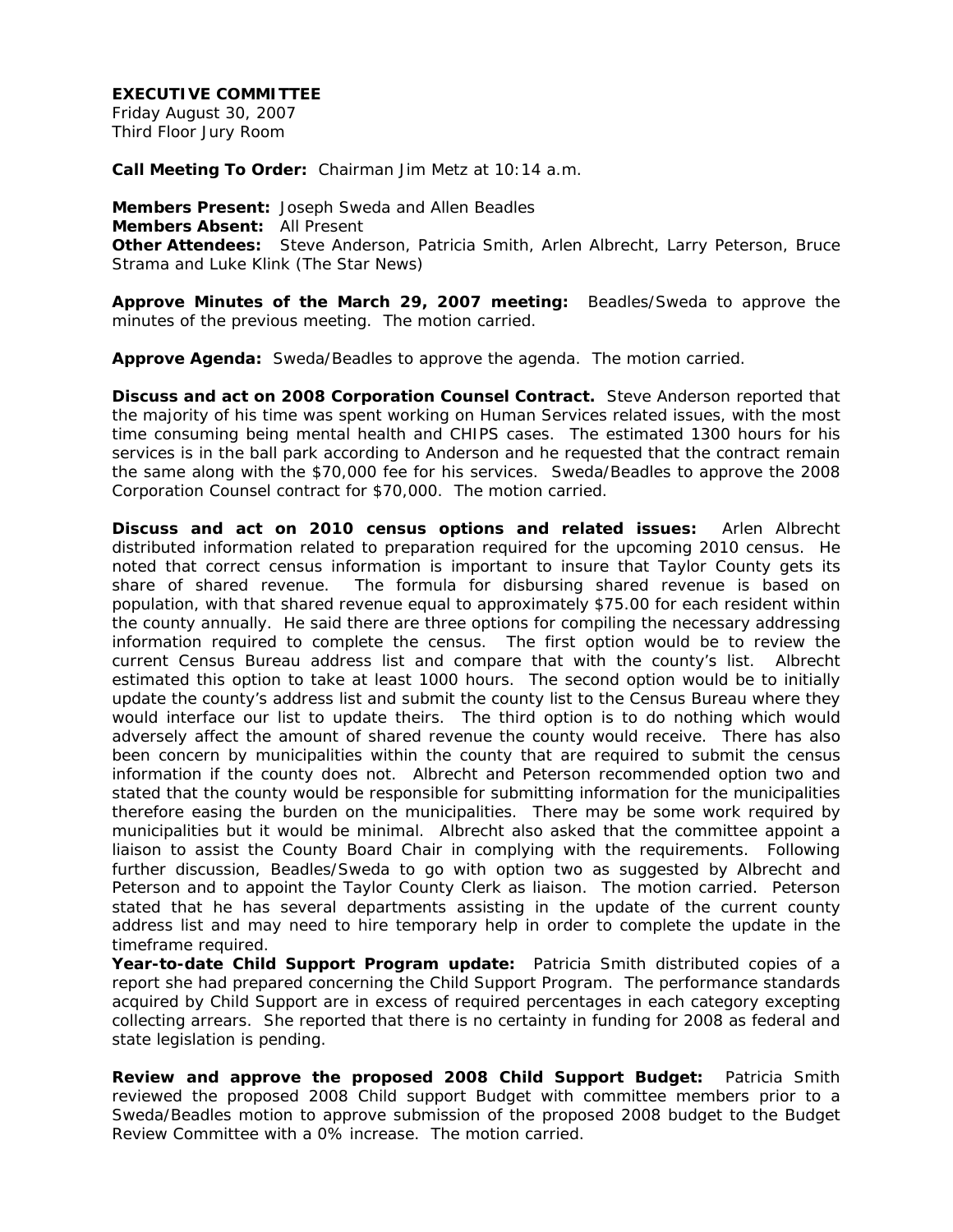### **EXECUTIVE COMMITTEE**

Friday August 30, 2007 Third Floor Jury Room

**Call Meeting To Order:** Chairman Jim Metz at 10:14 a.m.

**Members Present:** Joseph Sweda and Allen Beadles **Members Absent:** All Present **Other Attendees:** Steve Anderson, Patricia Smith, Arlen Albrecht, Larry Peterson, Bruce Strama and Luke Klink (The Star News)

**Approve Minutes of the March 29, 2007 meeting:** Beadles/Sweda to approve the minutes of the previous meeting. The motion carried.

**Approve Agenda:** Sweda/Beadles to approve the agenda. The motion carried.

**Discuss and act on 2008 Corporation Counsel Contract.** Steve Anderson reported that the majority of his time was spent working on Human Services related issues, with the most time consuming being mental health and CHIPS cases. The estimated 1300 hours for his services is in the ball park according to Anderson and he requested that the contract remain the same along with the \$70,000 fee for his services. Sweda/Beadles to approve the 2008 Corporation Counsel contract for \$70,000. The motion carried.

**Discuss and act on 2010 census options and related issues:** Arlen Albrecht distributed information related to preparation required for the upcoming 2010 census. He noted that correct census information is important to insure that Taylor County gets its share of shared revenue. The formula for disbursing shared revenue is based on population, with that shared revenue equal to approximately \$75.00 for each resident within the county annually. He said there are three options for compiling the necessary addressing information required to complete the census. The first option would be to review the current Census Bureau address list and compare that with the county's list. Albrecht estimated this option to take at least 1000 hours. The second option would be to initially update the county's address list and submit the county list to the Census Bureau where they would interface our list to update theirs. The third option is to do nothing which would adversely affect the amount of shared revenue the county would receive. There has also been concern by municipalities within the county that are required to submit the census information if the county does not. Albrecht and Peterson recommended option two and stated that the county would be responsible for submitting information for the municipalities therefore easing the burden on the municipalities. There may be some work required by municipalities but it would be minimal. Albrecht also asked that the committee appoint a liaison to assist the County Board Chair in complying with the requirements. Following further discussion, Beadles/Sweda to go with option two as suggested by Albrecht and Peterson and to appoint the Taylor County Clerk as liaison. The motion carried. Peterson stated that he has several departments assisting in the update of the current county address list and may need to hire temporary help in order to complete the update in the timeframe required.

**Year-to-date Child Support Program update:** Patricia Smith distributed copies of a report she had prepared concerning the Child Support Program. The performance standards acquired by Child Support are in excess of required percentages in each category excepting collecting arrears. She reported that there is no certainty in funding for 2008 as federal and state legislation is pending.

**Review and approve the proposed 2008 Child Support Budget:** Patricia Smith reviewed the proposed 2008 Child support Budget with committee members prior to a Sweda/Beadles motion to approve submission of the proposed 2008 budget to the Budget Review Committee with a 0% increase. The motion carried.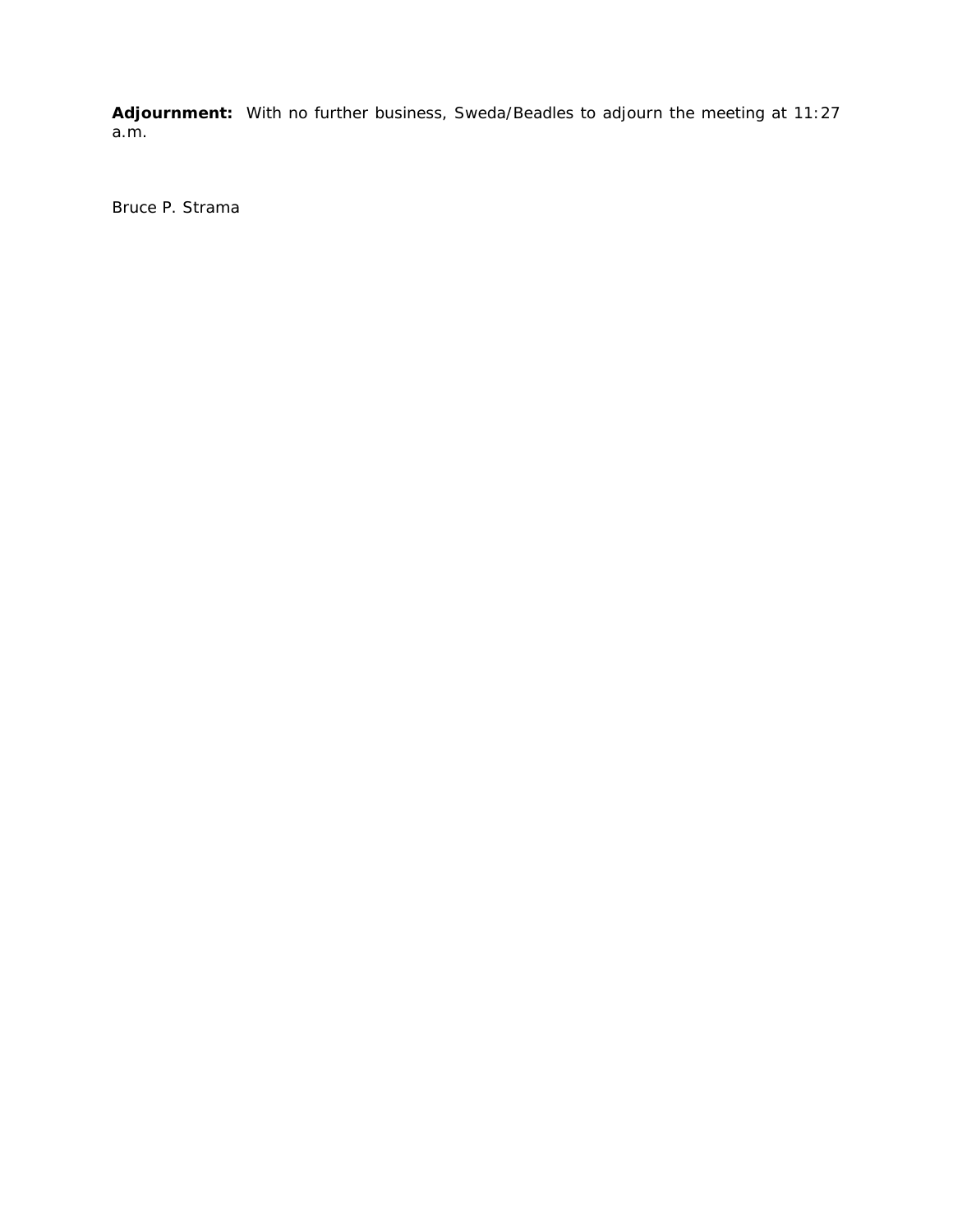**Adjournment:** With no further business, Sweda/Beadles to adjourn the meeting at 11:27 a.m.

Bruce P. Strama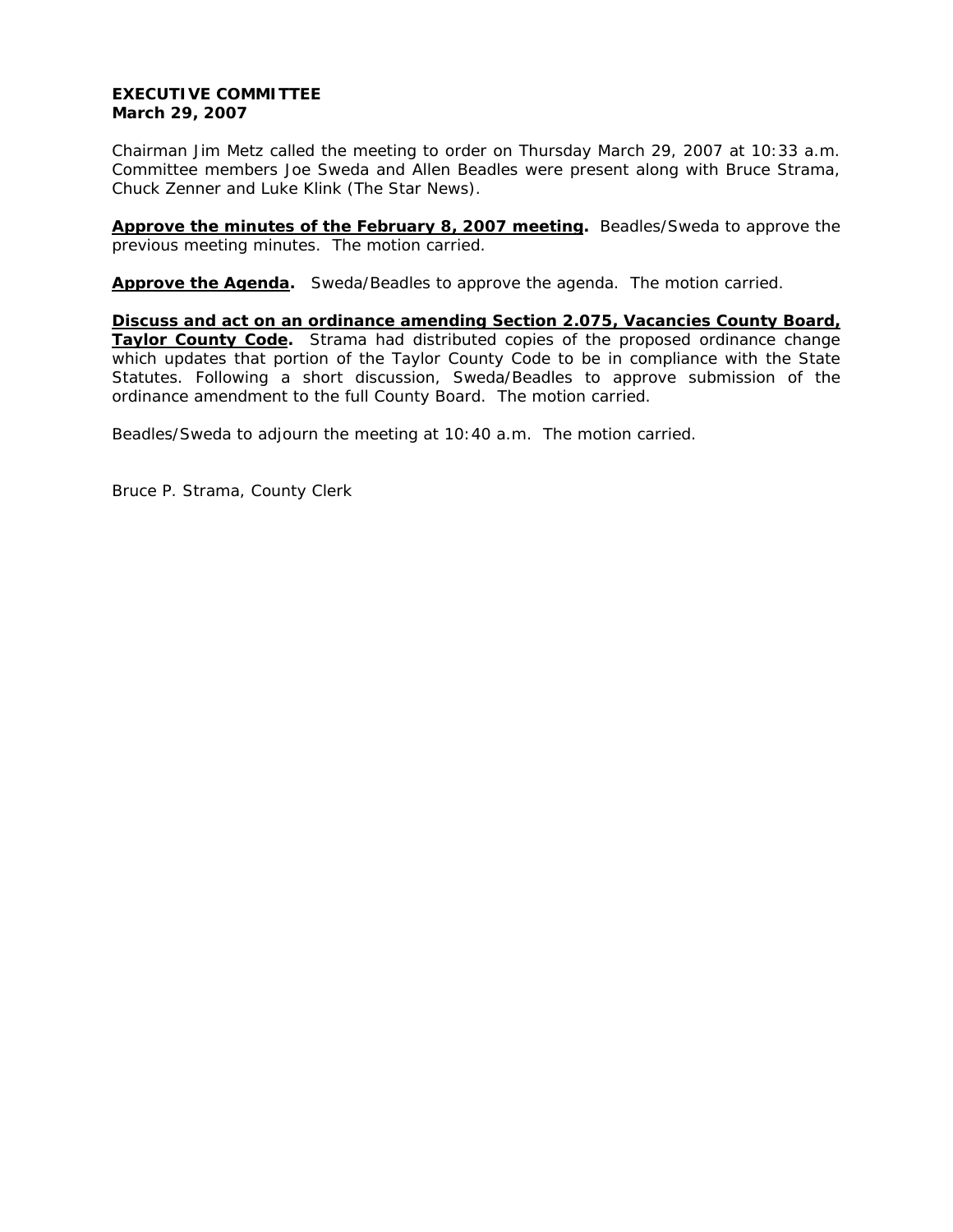### **EXECUTIVE COMMITTEE March 29, 2007**

Chairman Jim Metz called the meeting to order on Thursday March 29, 2007 at 10:33 a.m. Committee members Joe Sweda and Allen Beadles were present along with Bruce Strama, Chuck Zenner and Luke Klink (The Star News).

**Approve the minutes of the February 8, 2007 meeting.** Beadles/Sweda to approve the previous meeting minutes. The motion carried.

**Approve the Agenda.** Sweda/Beadles to approve the agenda. The motion carried.

**Discuss and act on an ordinance amending Section 2.075, Vacancies County Board, Taylor County Code.** Strama had distributed copies of the proposed ordinance change which updates that portion of the Taylor County Code to be in compliance with the State Statutes. Following a short discussion, Sweda/Beadles to approve submission of the ordinance amendment to the full County Board. The motion carried.

Beadles/Sweda to adjourn the meeting at 10:40 a.m. The motion carried.

Bruce P. Strama, County Clerk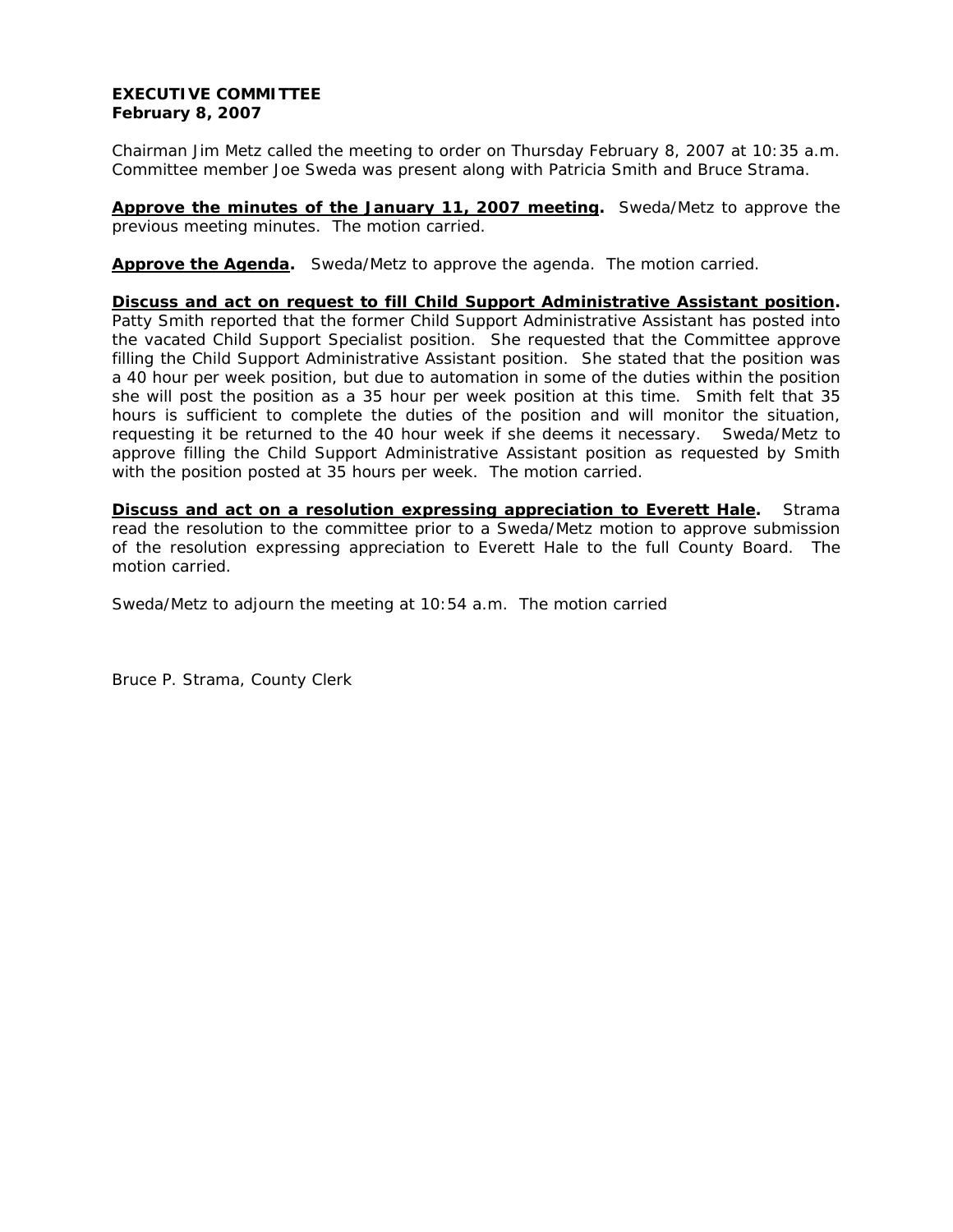# **EXECUTIVE COMMITTEE February 8, 2007**

Chairman Jim Metz called the meeting to order on Thursday February 8, 2007 at 10:35 a.m. Committee member Joe Sweda was present along with Patricia Smith and Bruce Strama.

**Approve the minutes of the January 11, 2007 meeting.** Sweda/Metz to approve the previous meeting minutes. The motion carried.

**Approve the Agenda.** Sweda/Metz to approve the agenda. The motion carried.

**Discuss and act on request to fill Child Support Administrative Assistant position.**  Patty Smith reported that the former Child Support Administrative Assistant has posted into the vacated Child Support Specialist position. She requested that the Committee approve filling the Child Support Administrative Assistant position. She stated that the position was a 40 hour per week position, but due to automation in some of the duties within the position she will post the position as a 35 hour per week position at this time. Smith felt that 35 hours is sufficient to complete the duties of the position and will monitor the situation, requesting it be returned to the 40 hour week if she deems it necessary. Sweda/Metz to approve filling the Child Support Administrative Assistant position as requested by Smith with the position posted at 35 hours per week. The motion carried.

**Discuss and act on a resolution expressing appreciation to Everett Hale.** Strama read the resolution to the committee prior to a Sweda/Metz motion to approve submission of the resolution expressing appreciation to Everett Hale to the full County Board. The motion carried.

Sweda/Metz to adjourn the meeting at 10:54 a.m. The motion carried

Bruce P. Strama, County Clerk